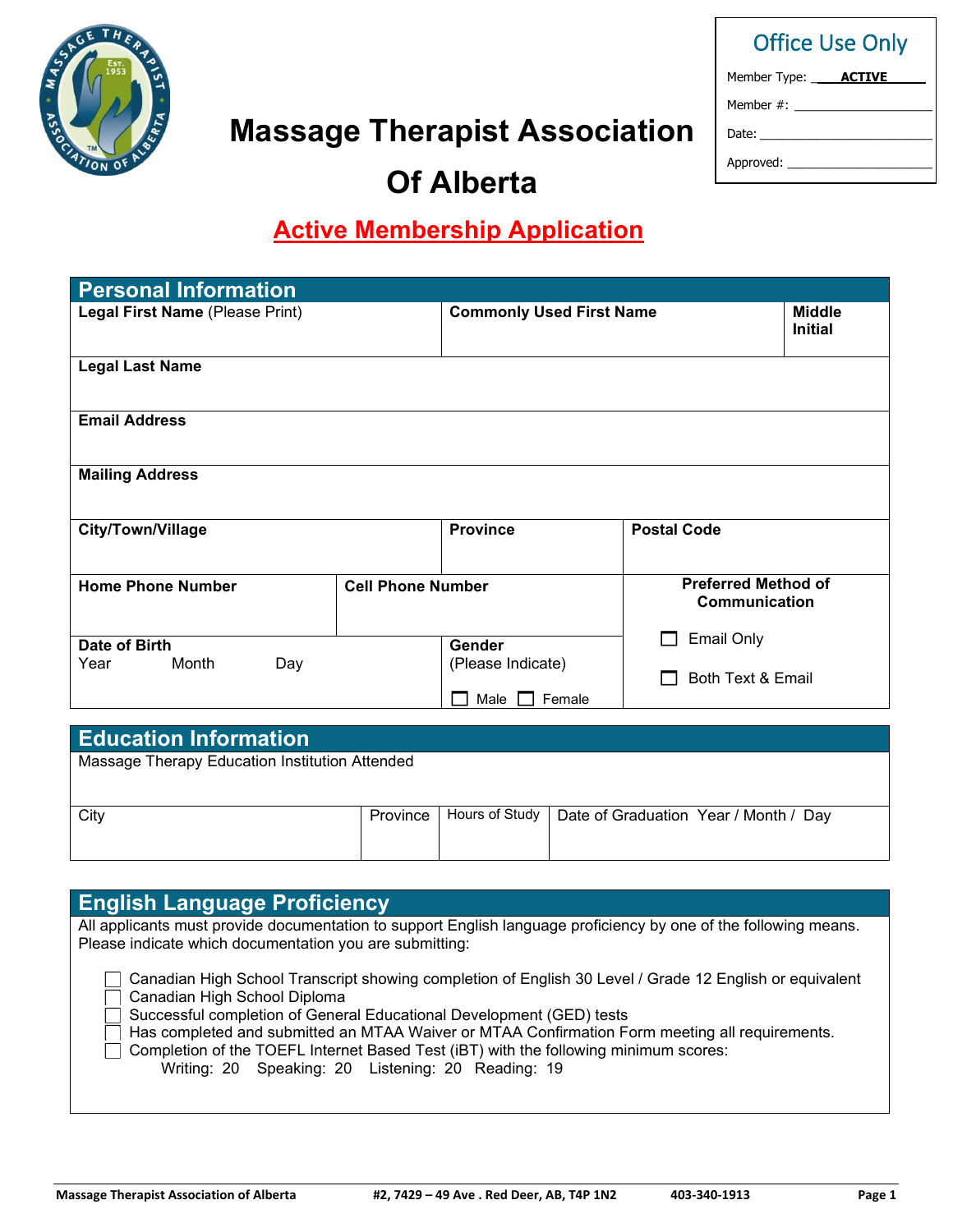

# **Massage Therapist Association**

| <b>Office Use Only</b>                  |  |
|-----------------------------------------|--|
| Member Type: _____ <b>ACTIVE</b> ______ |  |
| Member #:                               |  |
|                                         |  |
| Approved: ______                        |  |

# **Of Alberta**

# **Active Membership Application**

| <b>Personal Information</b>                                                       |                          |                                 |                                             |  |
|-----------------------------------------------------------------------------------|--------------------------|---------------------------------|---------------------------------------------|--|
| Legal First Name (Please Print)                                                   |                          | <b>Commonly Used First Name</b> | <b>Middle</b><br><b>Initial</b>             |  |
| <b>Legal Last Name</b>                                                            |                          |                                 |                                             |  |
| <b>Email Address</b>                                                              |                          |                                 |                                             |  |
| <b>Mailing Address</b>                                                            |                          |                                 |                                             |  |
| City/Town/Village                                                                 |                          | <b>Province</b>                 | <b>Postal Code</b>                          |  |
| <b>Home Phone Number</b>                                                          | <b>Cell Phone Number</b> |                                 | <b>Preferred Method of</b><br>Communication |  |
| Date of Birth<br>Month<br>Year<br>Day                                             |                          | Gender<br>(Please Indicate)     | <b>Email Only</b>                           |  |
|                                                                                   |                          | Male<br>Female                  | Both Text & Email                           |  |
| --<br><b>Contract Contract Contract</b><br><b>State College</b><br><b>Service</b> |                          |                                 |                                             |  |

# **Education Information**

Massage Therapy Education Institution Attended

| City |  | Province   Hours of Study   Date of Graduation Year / Month / Day |
|------|--|-------------------------------------------------------------------|
|      |  |                                                                   |
|      |  |                                                                   |
|      |  |                                                                   |
|      |  |                                                                   |

| <b>English Language Proficiency</b>                                                                                                                                                                                                                                                                                                                                                                                                                             |
|-----------------------------------------------------------------------------------------------------------------------------------------------------------------------------------------------------------------------------------------------------------------------------------------------------------------------------------------------------------------------------------------------------------------------------------------------------------------|
| All applicants must provide documentation to support English language proficiency by one of the following means.<br>Please indicate which documentation you are submitting:                                                                                                                                                                                                                                                                                     |
| Canadian High School Transcript showing completion of English 30 Level / Grade 12 English or equivalent<br>Canadian High School Diploma<br>Successful completion of General Educational Development (GED) tests<br>Has completed and submitted an MTAA Waiver or MTAA Confirmation Form meeting all requirements.<br>Completion of the TOEFL Internet Based Test (iBT) with the following minimum scores:<br>Writing: 20 Speaking: 20 Listening: 20 Reading: 19 |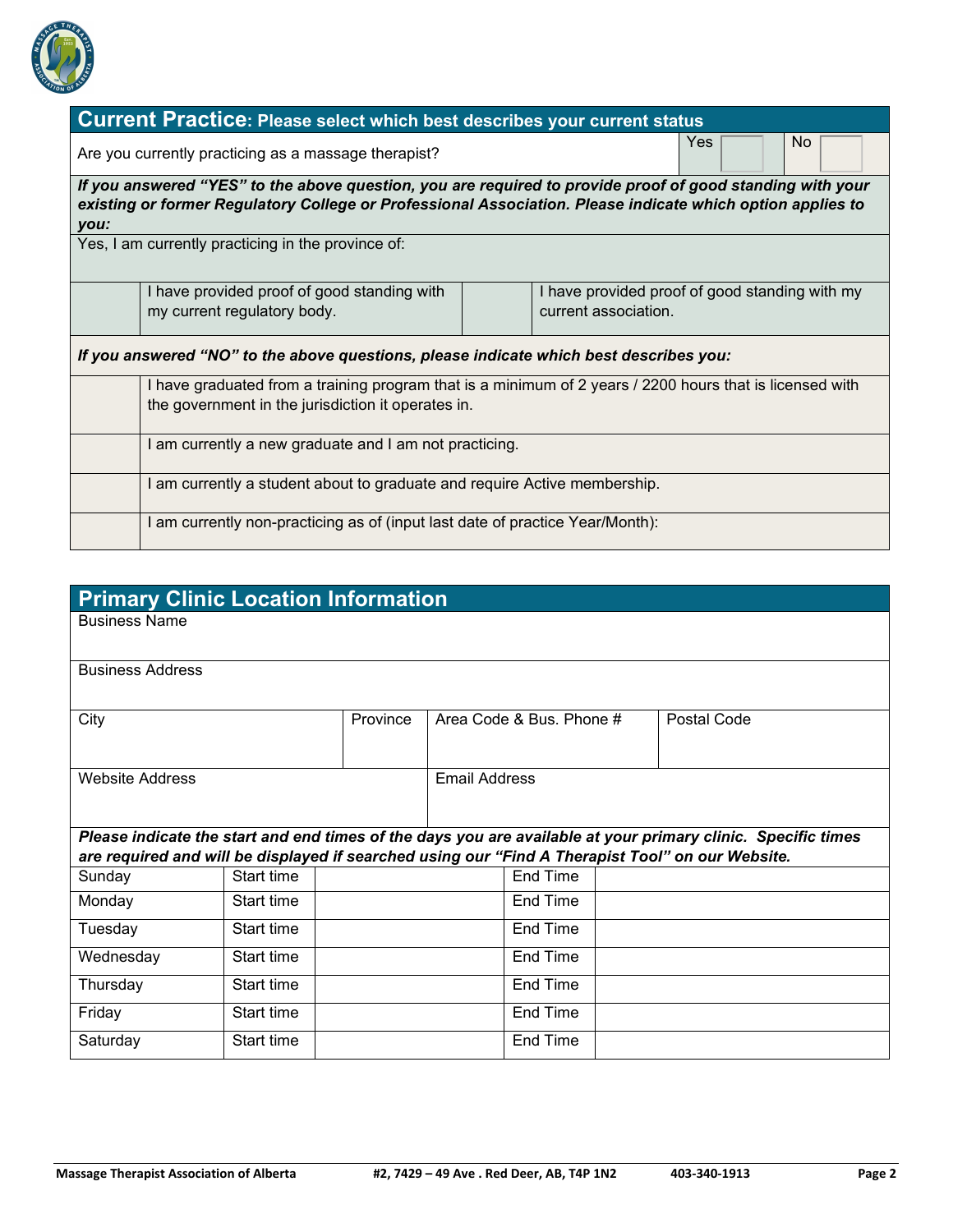

|      | <b>Current Practice: Please select which best describes your current status</b>                            |  |                                                |  |  |  |  |  |  |
|------|------------------------------------------------------------------------------------------------------------|--|------------------------------------------------|--|--|--|--|--|--|
|      | No.<br>Yes<br>Are you currently practicing as a massage therapist?                                         |  |                                                |  |  |  |  |  |  |
|      | If you answered "YES" to the above question, you are required to provide proof of good standing with your  |  |                                                |  |  |  |  |  |  |
| you: | existing or former Regulatory College or Professional Association. Please indicate which option applies to |  |                                                |  |  |  |  |  |  |
|      | Yes, I am currently practicing in the province of:                                                         |  |                                                |  |  |  |  |  |  |
|      |                                                                                                            |  |                                                |  |  |  |  |  |  |
|      | I have provided proof of good standing with                                                                |  | I have provided proof of good standing with my |  |  |  |  |  |  |
|      | my current regulatory body.                                                                                |  | current association.                           |  |  |  |  |  |  |
|      | If you answered "NO" to the above questions, please indicate which best describes you:                     |  |                                                |  |  |  |  |  |  |
|      | I have graduated from a training program that is a minimum of 2 years / 2200 hours that is licensed with   |  |                                                |  |  |  |  |  |  |
|      | the government in the jurisdiction it operates in.                                                         |  |                                                |  |  |  |  |  |  |
|      | I am currently a new graduate and I am not practicing.                                                     |  |                                                |  |  |  |  |  |  |
|      | I am currently a student about to graduate and require Active membership.                                  |  |                                                |  |  |  |  |  |  |
|      | I am currently non-practicing as of (input last date of practice Year/Month):                              |  |                                                |  |  |  |  |  |  |

| <b>Primary Clinic Location Information</b>                                                       |            |          |                      |                          |  |                                                                                                              |  |
|--------------------------------------------------------------------------------------------------|------------|----------|----------------------|--------------------------|--|--------------------------------------------------------------------------------------------------------------|--|
| <b>Business Name</b>                                                                             |            |          |                      |                          |  |                                                                                                              |  |
| <b>Business Address</b>                                                                          |            |          |                      |                          |  |                                                                                                              |  |
|                                                                                                  |            |          |                      |                          |  |                                                                                                              |  |
| City                                                                                             |            | Province |                      | Area Code & Bus, Phone # |  | Postal Code                                                                                                  |  |
| <b>Website Address</b>                                                                           |            |          | <b>Email Address</b> |                          |  |                                                                                                              |  |
| are required and will be displayed if searched using our "Find A Therapist Tool" on our Website. |            |          |                      |                          |  | Please indicate the start and end times of the days you are available at your primary clinic. Specific times |  |
| Sunday                                                                                           | Start time |          |                      | <b>End Time</b>          |  |                                                                                                              |  |
| Monday                                                                                           | Start time |          | End Time             |                          |  |                                                                                                              |  |
| Tuesday                                                                                          | Start time |          |                      | End Time                 |  |                                                                                                              |  |
| Wednesday                                                                                        | Start time |          |                      | End Time                 |  |                                                                                                              |  |
| Thursday                                                                                         | Start time |          |                      | End Time                 |  |                                                                                                              |  |
| Friday                                                                                           | Start time |          |                      | End Time                 |  |                                                                                                              |  |
| Saturday                                                                                         | Start time |          |                      | End Time                 |  |                                                                                                              |  |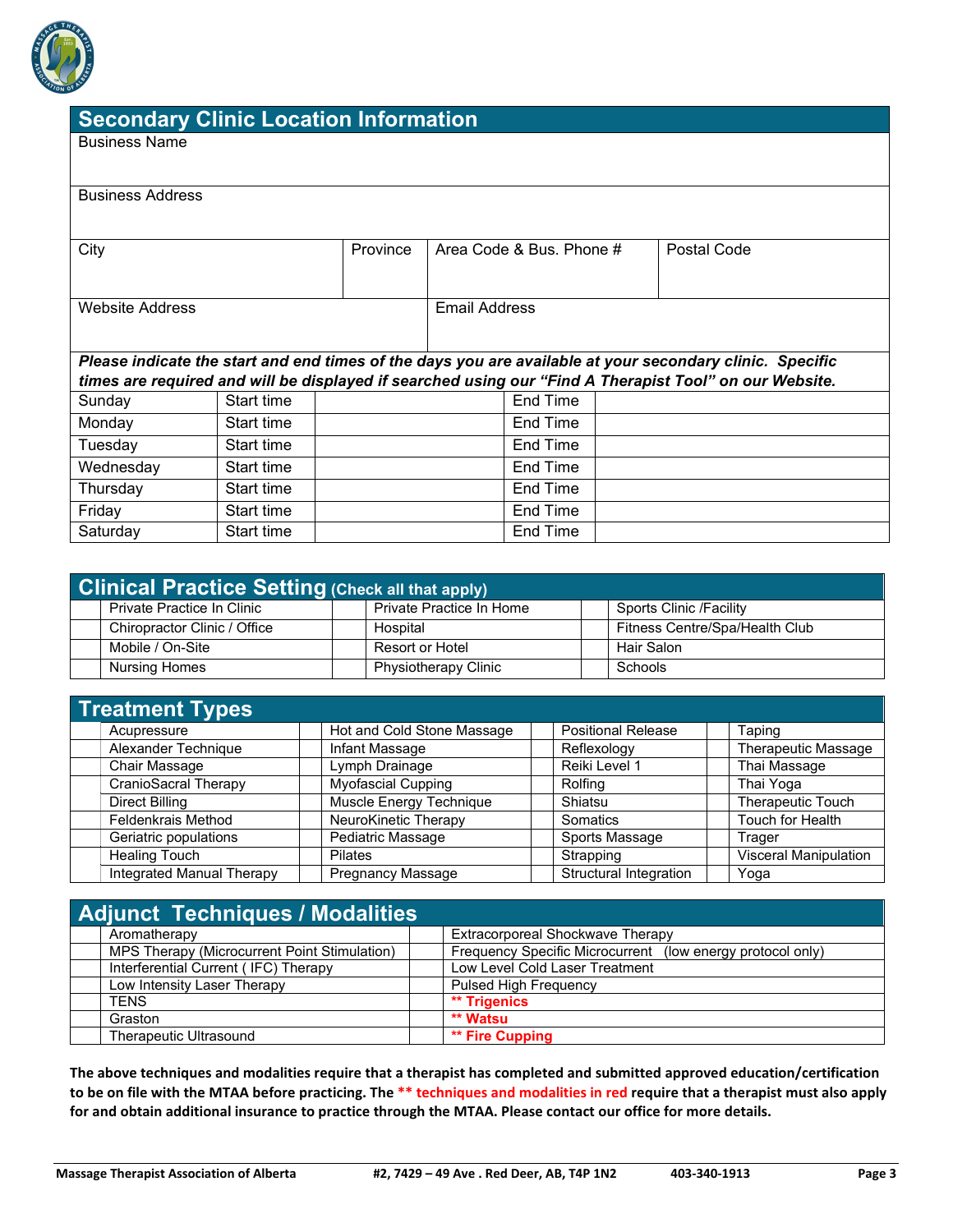

# **Secondary Clinic Location Information**

Business Name

| <b>Business Address</b> |  |
|-------------------------|--|
|-------------------------|--|

| City            |            | Province | Area Code & Bus, Phone # |          | Postal Code                                                                                              |
|-----------------|------------|----------|--------------------------|----------|----------------------------------------------------------------------------------------------------------|
|                 |            |          |                          |          |                                                                                                          |
|                 |            |          |                          |          |                                                                                                          |
| Website Address |            |          | Email Address            |          |                                                                                                          |
|                 |            |          |                          |          |                                                                                                          |
|                 |            |          |                          |          |                                                                                                          |
|                 |            |          |                          |          | Please indicate the start and end times of the days you are available at your secondary clinic. Specific |
|                 |            |          |                          |          | times are required and will be displayed if searched using our "Find A Therapist Tool" on our Website.   |
| Sunday          | Start time |          |                          | End Time |                                                                                                          |
| Monday          | Start time |          |                          | End Time |                                                                                                          |
| Tuesday         | Start time |          |                          | End Time |                                                                                                          |
| Wednesday       | Start time |          |                          | End Time |                                                                                                          |
| Thursday        | Start time |          |                          | End Time |                                                                                                          |
| Friday          | Start time |          |                          | End Time |                                                                                                          |
| Saturday        | Start time |          |                          | End Time |                                                                                                          |

| <b>Clinical Practice Setting (Check all that apply)</b> |  |                             |  |                                |  |
|---------------------------------------------------------|--|-----------------------------|--|--------------------------------|--|
| Private Practice In Clinic                              |  | Private Practice In Home    |  | Sports Clinic /Facility        |  |
| Chiropractor Clinic / Office                            |  | Hospital                    |  | Fitness Centre/Spa/Health Club |  |
| Mobile / On-Site                                        |  | Resort or Hotel             |  | Hair Salon                     |  |
| Nursing Homes                                           |  | <b>Physiotherapy Clinic</b> |  | Schools                        |  |

| <b>Treatment Types</b>           |                            |                               |                            |
|----------------------------------|----------------------------|-------------------------------|----------------------------|
| Acupressure                      | Hot and Cold Stone Massage | <b>Positional Release</b>     | Taping                     |
| Alexander Technique              | Infant Massage             | Reflexology                   | <b>Therapeutic Massage</b> |
| Chair Massage                    | Lymph Drainage             | Reiki Level 1                 | Thai Massage               |
| CranioSacral Therapy             | <b>Myofascial Cupping</b>  | Rolfing                       | Thai Yoga                  |
| Direct Billing                   | Muscle Energy Technique    | Shiatsu                       | Therapeutic Touch          |
| <b>Feldenkrais Method</b>        | NeuroKinetic Therapy       | Somatics                      | Touch for Health           |
| Geriatric populations            | Pediatric Massage          | Sports Massage                | Trager                     |
| <b>Healing Touch</b>             | <b>Pilates</b>             | Strapping                     | Visceral Manipulation      |
| <b>Integrated Manual Therapy</b> | <b>Pregnancy Massage</b>   | <b>Structural Integration</b> | Yoga                       |

| <b>Adjunct Techniques / Modalities</b>       |                                                            |
|----------------------------------------------|------------------------------------------------------------|
| Aromatherapy                                 | Extracorporeal Shockwave Therapy                           |
| MPS Therapy (Microcurrent Point Stimulation) | Frequency Specific Microcurrent (low energy protocol only) |
| Interferential Current (IFC) Therapy         | Low Level Cold Laser Treatment                             |
| Low Intensity Laser Therapy                  | <b>Pulsed High Frequency</b>                               |
| <b>TENS</b>                                  | ** Trigenics                                               |
| Graston                                      | ** Watsu                                                   |
| Therapeutic Ultrasound                       | ** Fire Cupping                                            |

**The above techniques and modalities require that a therapist has completed and submitted approved education/certification to be on file with the MTAA before practicing. The \*\* techniques and modalities in red require that a therapist must also apply for and obtain additional insurance to practice through the MTAA. Please contact our office for more details.**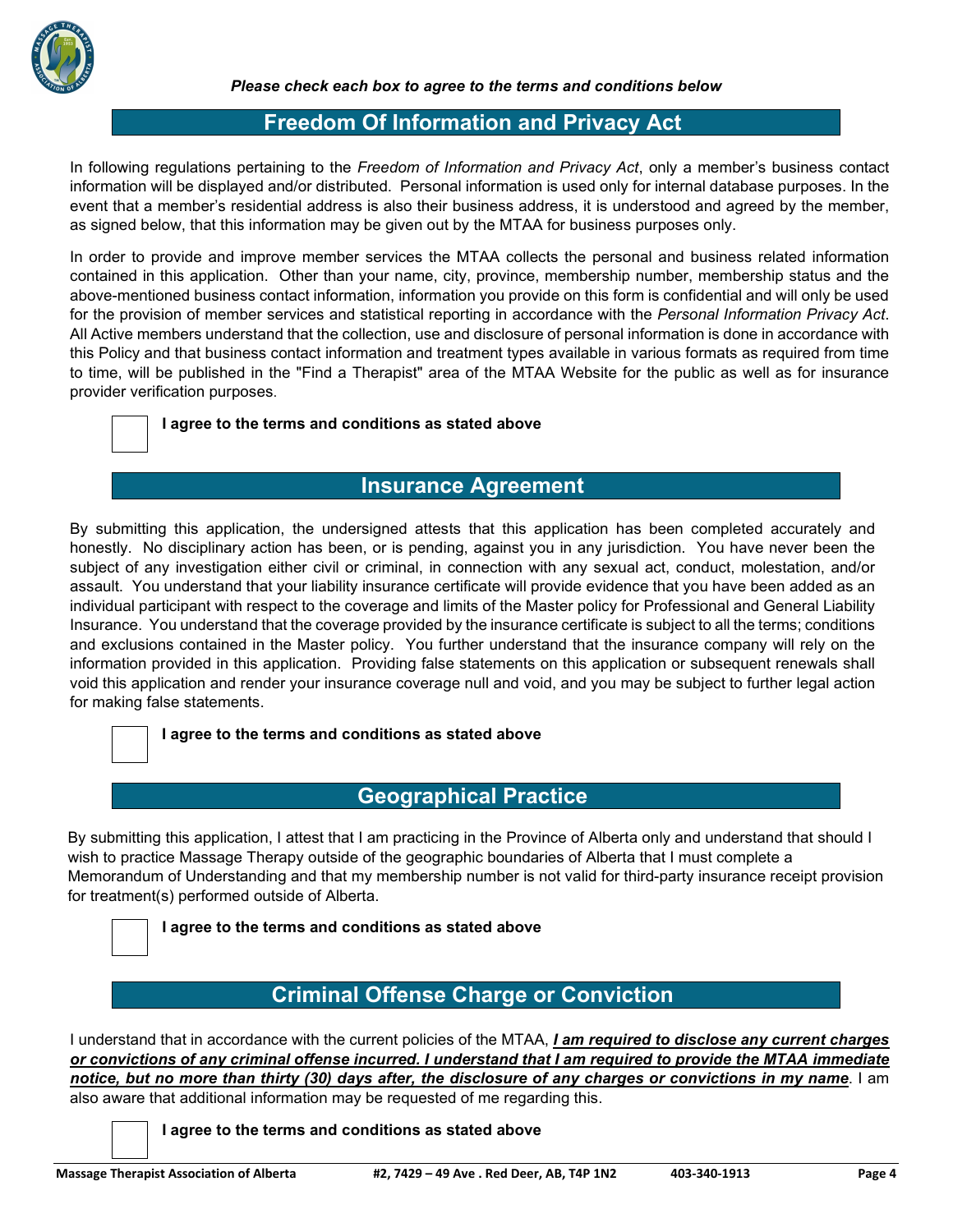

## **Freedom Of Information and Privacy Act**

In following regulations pertaining to the *Freedom of Information and Privacy Act*, only a member's business contact information will be displayed and/or distributed. Personal information is used only for internal database purposes. In the event that a member's residential address is also their business address, it is understood and agreed by the member, as signed below, that this information may be given out by the MTAA for business purposes only.

In order to provide and improve member services the MTAA collects the personal and business related information contained in this application. Other than your name, city, province, membership number, membership status and the above-mentioned business contact information, information you provide on this form is confidential and will only be used for the provision of member services and statistical reporting in accordance with the *Personal Information Privacy Act*. All Active members understand that the collection, use and disclosure of personal information is done in accordance with this Policy and that business contact information and treatment types available in various formats as required from time to time, will be published in the "Find a Therapist" area of the MTAA Website for the public as well as for insurance provider verification purposes.

#### **I agree to the terms and conditions as stated above**

## **Insurance Agreement**

By submitting this application, the undersigned attests that this application has been completed accurately and honestly. No disciplinary action has been, or is pending, against you in any jurisdiction. You have never been the subject of any investigation either civil or criminal, in connection with any sexual act, conduct, molestation, and/or assault. You understand that your liability insurance certificate will provide evidence that you have been added as an individual participant with respect to the coverage and limits of the Master policy for Professional and General Liability Insurance. You understand that the coverage provided by the insurance certificate is subject to all the terms; conditions and exclusions contained in the Master policy. You further understand that the insurance company will rely on the information provided in this application. Providing false statements on this application or subsequent renewals shall void this application and render your insurance coverage null and void, and you may be subject to further legal action for making false statements.

#### **I agree to the terms and conditions as stated above**

## **Geographical Practice**

By submitting this application, I attest that I am practicing in the Province of Alberta only and understand that should I wish to practice Massage Therapy outside of the geographic boundaries of Alberta that I must complete a Memorandum of Understanding and that my membership number is not valid for third-party insurance receipt provision for treatment(s) performed outside of Alberta.

**I agree to the terms and conditions as stated above** 

# **Criminal Offense Charge or Conviction**

I understand that in accordance with the current policies of the MTAA, *I am required to disclose any current charges or convictions of any criminal offense incurred. I understand that I am required to provide the MTAA immediate notice, but no more than thirty (30) days after, the disclosure of any charges or convictions in my name*. I am also aware that additional information may be requested of me regarding this.

**I agree to the terms and conditions as stated above**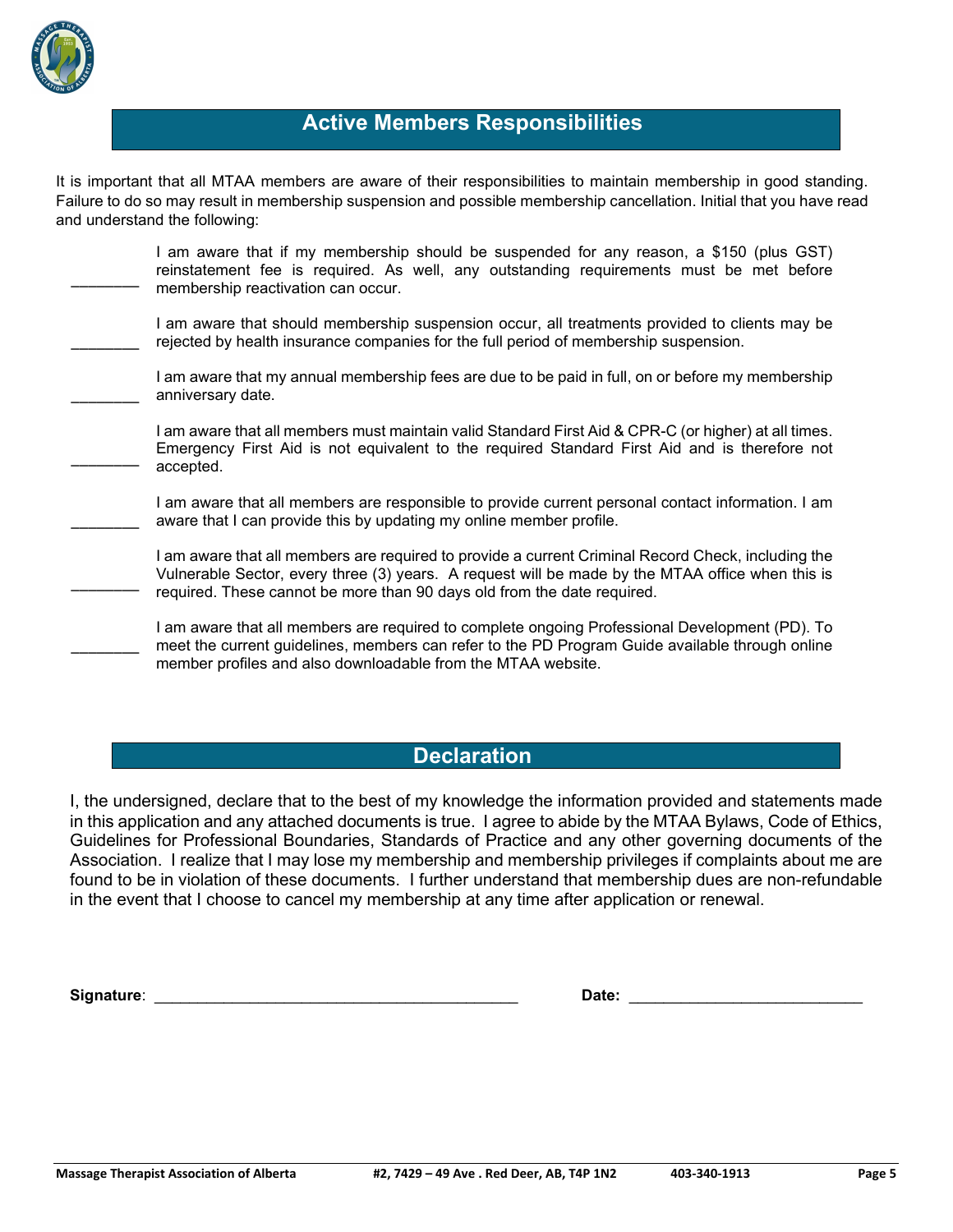

## **Active Members Responsibilities**

It is important that all MTAA members are aware of their responsibilities to maintain membership in good standing. Failure to do so may result in membership suspension and possible membership cancellation. Initial that you have read and understand the following:

| I am aware that if my membership should be suspended for any reason, a \$150 (plus GST)<br>reinstatement fee is required. As well, any outstanding requirements must be met before<br>membership reactivation can occur.                                                        |
|---------------------------------------------------------------------------------------------------------------------------------------------------------------------------------------------------------------------------------------------------------------------------------|
| I am aware that should membership suspension occur, all treatments provided to clients may be<br>rejected by health insurance companies for the full period of membership suspension.                                                                                           |
| I am aware that my annual membership fees are due to be paid in full, on or before my membership<br>anniversary date.                                                                                                                                                           |
| I am aware that all members must maintain valid Standard First Aid & CPR-C (or higher) at all times.<br>Emergency First Aid is not equivalent to the required Standard First Aid and is therefore not<br>accepted.                                                              |
| I am aware that all members are responsible to provide current personal contact information. I am<br>aware that I can provide this by updating my online member profile.                                                                                                        |
| am aware that all members are required to provide a current Criminal Record Check, including the<br>Vulnerable Sector, every three (3) years. A request will be made by the MTAA office when this is<br>required. These cannot be more than 90 days old from the date required. |
| I am aware that all members are required to complete ongoing Professional Development (PD). To<br>meet the current guidelines, members can refer to the PD Program Guide available through online<br>member profiles and also downloadable from the MTAA website.               |

### **Declaration**

I, the undersigned, declare that to the best of my knowledge the information provided and statements made in this application and any attached documents is true. I agree to abide by the MTAA Bylaws, Code of Ethics, Guidelines for Professional Boundaries, Standards of Practice and any other governing documents of the Association. I realize that I may lose my membership and membership privileges if complaints about me are found to be in violation of these documents. I further understand that membership dues are non-refundable in the event that I choose to cancel my membership at any time after application or renewal.

**Signature**: \_\_\_\_\_\_\_\_\_\_\_\_\_\_\_\_\_\_\_\_\_\_\_\_\_\_\_\_\_\_\_\_\_\_\_\_\_\_\_\_\_\_ **Date:** \_\_\_\_\_\_\_\_\_\_\_\_\_\_\_\_\_\_\_\_\_\_\_\_\_\_\_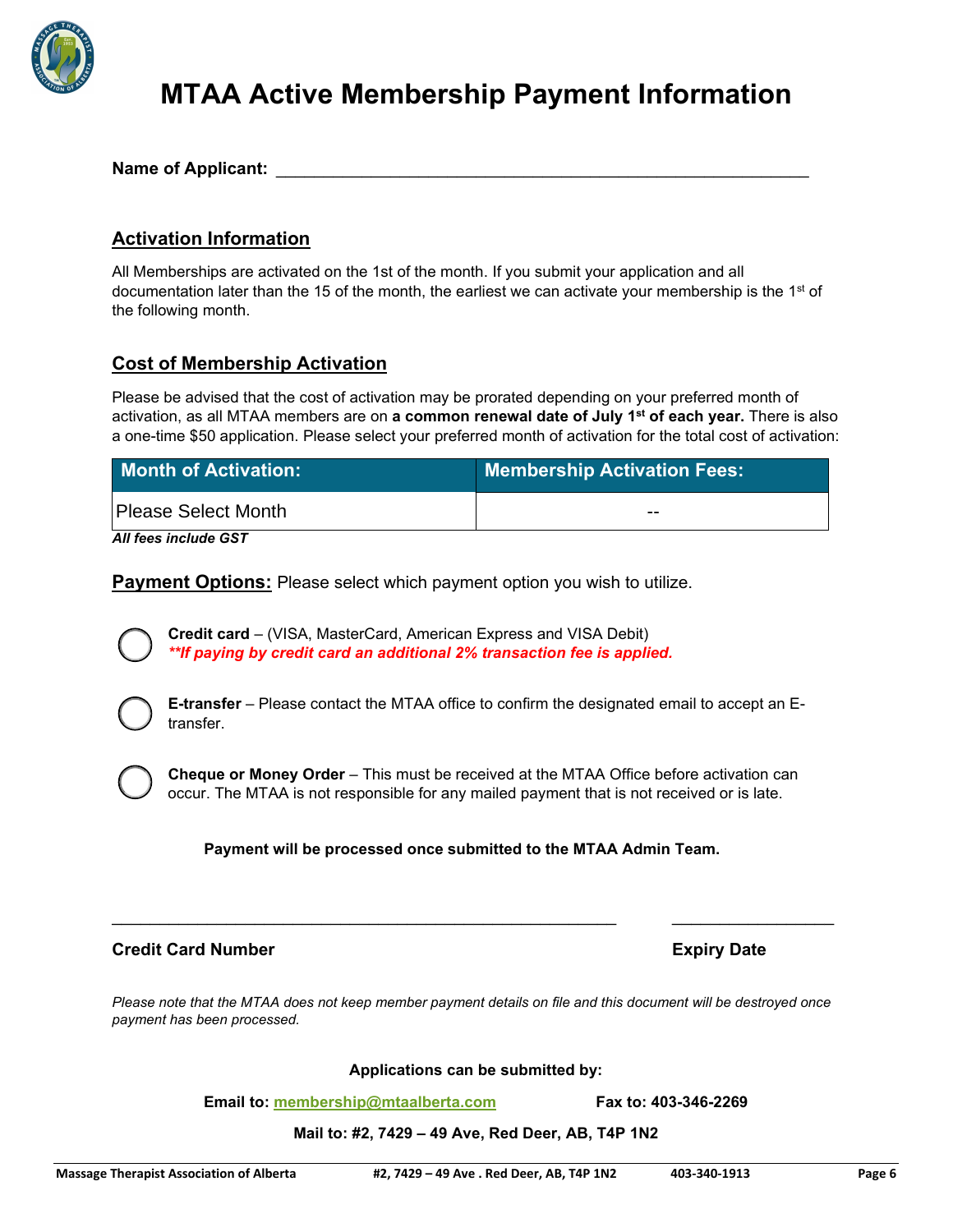

# **MTAA Active Membership Payment Information**

Name of Applicant:

### **Activation Information**

All Memberships are activated on the 1st of the month. If you submit your application and all documentation later than the 15 of the month, the earliest we can activate your membership is the 1<sup>st</sup> of the following month.

### **Cost of Membership Activation**

Please be advised that the cost of activation may be prorated depending on your preferred month of activation, as all MTAA members are on **a common renewal date of July 1st of each year.** There is also a one-time \$50 application. Please select your preferred month of activation for the total cost of activation:

| <b>Month of Activation:</b> | <b>Membership Activation Fees:</b> |
|-----------------------------|------------------------------------|
| Please Select Month         | $- -$                              |

*All fees include GST*

**Payment Options:** Please select which payment option you wish to utilize.

**Credit card** – (VISA, MasterCard, American Express and VISA Debit) *\*\*If paying by credit card an additional 2% transaction fee is applied.*

**E-transfer** – Please contact the MTAA office to confirm the designated email to accept an Etransfer.

**Cheque or Money Order** – This must be received at the MTAA Office before activation can occur. The MTAA is not responsible for any mailed payment that is not received or is late.

**Payment will be processed once submitted to the MTAA Admin Team.** 

#### **Credit Card Number Credit Card Number 2018**

*Please note that the MTAA does not keep member payment details on file and this document will be destroyed once payment has been processed.*

\_\_\_\_\_\_\_\_\_\_\_\_\_\_\_\_\_\_\_\_\_\_\_\_\_\_\_\_\_\_\_\_\_\_\_\_\_\_\_\_\_\_\_\_\_\_\_\_\_\_\_\_\_ \_\_\_\_\_\_\_\_\_\_\_\_\_\_\_\_\_

**Applications can be submitted by:**

**Email to: [membership@mtaalberta.com](mailto:membership@mtaalberta.com) Fax to: 403-346-2269**

**Mail to: #2, 7429 – 49 Ave, Red Deer, AB, T4P 1N2**